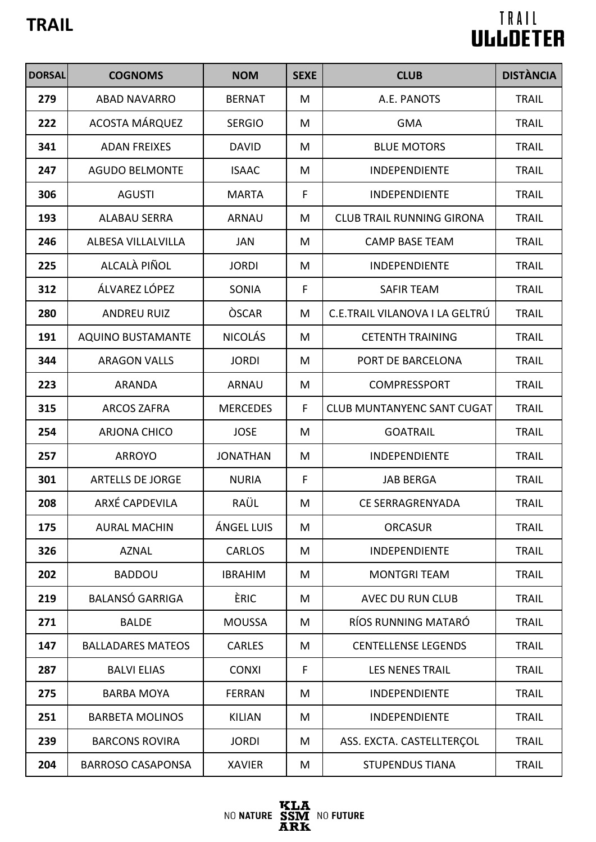| <b>DORSAL</b> | <b>COGNOMS</b>           | <b>NOM</b>      | <b>SEXE</b> | <b>CLUB</b>                       | <b>DISTÀNCIA</b> |
|---------------|--------------------------|-----------------|-------------|-----------------------------------|------------------|
| 279           | <b>ABAD NAVARRO</b>      | <b>BERNAT</b>   | M           | A.E. PANOTS                       | <b>TRAIL</b>     |
| 222           | ACOSTA MÁRQUEZ           | <b>SERGIO</b>   | M           | <b>GMA</b>                        | <b>TRAIL</b>     |
| 341           | <b>ADAN FREIXES</b>      | <b>DAVID</b>    | M           | <b>BLUE MOTORS</b>                | <b>TRAIL</b>     |
| 247           | <b>AGUDO BELMONTE</b>    | <b>ISAAC</b>    | M           | <b>INDEPENDIENTE</b>              | <b>TRAIL</b>     |
| 306           | <b>AGUSTI</b>            | <b>MARTA</b>    | $\mathsf F$ | <b>INDEPENDIENTE</b>              | <b>TRAIL</b>     |
| 193           | <b>ALABAU SERRA</b>      | <b>ARNAU</b>    | M           | <b>CLUB TRAIL RUNNING GIRONA</b>  | <b>TRAIL</b>     |
| 246           | ALBESA VILLALVILLA       | <b>JAN</b>      | M           | <b>CAMP BASE TEAM</b>             | <b>TRAIL</b>     |
| 225           | ALCALÀ PIÑOL             | <b>JORDI</b>    | M           | <b>INDEPENDIENTE</b>              | <b>TRAIL</b>     |
| 312           | ÁLVAREZ LÓPEZ            | SONIA           | F           | <b>SAFIR TEAM</b>                 | <b>TRAIL</b>     |
| 280           | <b>ANDREU RUIZ</b>       | <b>OSCAR</b>    | M           | C.E.TRAIL VILANOVA I LA GELTRÚ    | <b>TRAIL</b>     |
| 191           | <b>AQUINO BUSTAMANTE</b> | <b>NICOLÁS</b>  | M           | <b>CETENTH TRAINING</b>           | <b>TRAIL</b>     |
| 344           | <b>ARAGON VALLS</b>      | <b>JORDI</b>    | M           | PORT DE BARCELONA                 | <b>TRAIL</b>     |
| 223           | <b>ARANDA</b>            | <b>ARNAU</b>    | M           | COMPRESSPORT                      | <b>TRAIL</b>     |
| 315           | <b>ARCOS ZAFRA</b>       | <b>MERCEDES</b> | F           | <b>CLUB MUNTANYENC SANT CUGAT</b> | <b>TRAIL</b>     |
| 254           | <b>ARJONA CHICO</b>      | <b>JOSE</b>     | M           | <b>GOATRAIL</b>                   | <b>TRAIL</b>     |
| 257           | <b>ARROYO</b>            | <b>JONATHAN</b> | M           | <b>INDEPENDIENTE</b>              | <b>TRAIL</b>     |
| 301           | <b>ARTELLS DE JORGE</b>  | <b>NURIA</b>    | $\mathsf F$ | <b>JAB BERGA</b>                  | <b>TRAIL</b>     |
| 208           | ARXÉ CAPDEVILA           | RAÜL            | M           | CE SERRAGRENYADA                  | <b>TRAIL</b>     |
| 175           | <b>AURAL MACHIN</b>      | ÁNGEL LUIS      | M           | <b>ORCASUR</b>                    | <b>TRAIL</b>     |
| 326           | <b>AZNAL</b>             | <b>CARLOS</b>   | M           | <b>INDEPENDIENTE</b>              | <b>TRAIL</b>     |
| 202           | <b>BADDOU</b>            | <b>IBRAHIM</b>  | M           | <b>MONTGRI TEAM</b>               | <b>TRAIL</b>     |
| 219           | <b>BALANSÓ GARRIGA</b>   | ÈRIC            | M           | AVEC DU RUN CLUB                  | <b>TRAIL</b>     |
| 271           | <b>BALDE</b>             | <b>MOUSSA</b>   | M           | RÍOS RUNNING MATARÓ               | <b>TRAIL</b>     |
| 147           | <b>BALLADARES MATEOS</b> | <b>CARLES</b>   | M           | <b>CENTELLENSE LEGENDS</b>        | <b>TRAIL</b>     |
| 287           | <b>BALVI ELIAS</b>       | <b>CONXI</b>    | F           | <b>LES NENES TRAIL</b>            | <b>TRAIL</b>     |
| 275           | <b>BARBA MOYA</b>        | <b>FERRAN</b>   | M           | <b>INDEPENDIENTE</b>              | <b>TRAIL</b>     |
| 251           | <b>BARBETA MOLINOS</b>   | <b>KILIAN</b>   | M           | <b>INDEPENDIENTE</b>              | <b>TRAIL</b>     |
| 239           | <b>BARCONS ROVIRA</b>    | <b>JORDI</b>    | M           | ASS. EXCTA. CASTELLTERÇOL         | <b>TRAIL</b>     |
| 204           | <b>BARROSO CASAPONSA</b> | <b>XAVIER</b>   | M           | <b>STUPENDUS TIANA</b>            | <b>TRAIL</b>     |

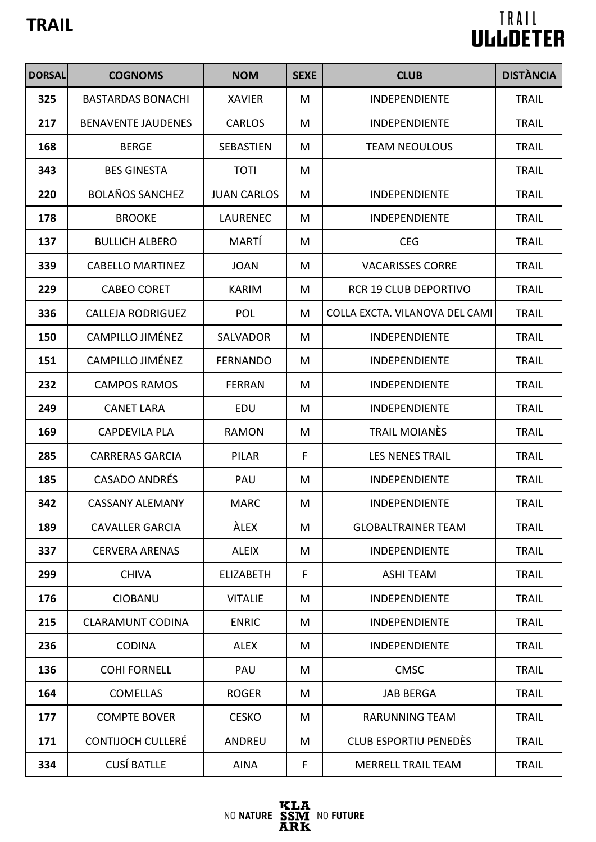| <b>DORSAL</b> | <b>COGNOMS</b>            | <b>NOM</b>         | <b>SEXE</b> | <b>CLUB</b>                    | <b>DISTÀNCIA</b> |
|---------------|---------------------------|--------------------|-------------|--------------------------------|------------------|
| 325           | <b>BASTARDAS BONACHI</b>  | <b>XAVIER</b>      | M           | INDEPENDIENTE                  | <b>TRAIL</b>     |
| 217           | <b>BENAVENTE JAUDENES</b> | <b>CARLOS</b>      | M           | <b>INDEPENDIENTE</b>           | <b>TRAIL</b>     |
| 168           | <b>BERGE</b>              | <b>SEBASTIEN</b>   | M           | <b>TEAM NEOULOUS</b>           | <b>TRAIL</b>     |
| 343           | <b>BES GINESTA</b>        | <b>TOTI</b>        | M           |                                | <b>TRAIL</b>     |
| 220           | <b>BOLAÑOS SANCHEZ</b>    | <b>JUAN CARLOS</b> | M           | <b>INDEPENDIENTE</b>           | <b>TRAIL</b>     |
| 178           | <b>BROOKE</b>             | <b>LAURENEC</b>    | M           | INDEPENDIENTE                  | <b>TRAIL</b>     |
| 137           | <b>BULLICH ALBERO</b>     | MARTÍ              | M           | <b>CEG</b>                     | <b>TRAIL</b>     |
| 339           | <b>CABELLO MARTINEZ</b>   | <b>JOAN</b>        | M           | <b>VACARISSES CORRE</b>        | <b>TRAIL</b>     |
| 229           | <b>CABEO CORET</b>        | <b>KARIM</b>       | M           | <b>RCR 19 CLUB DEPORTIVO</b>   | <b>TRAIL</b>     |
| 336           | <b>CALLEJA RODRIGUEZ</b>  | <b>POL</b>         | M           | COLLA EXCTA. VILANOVA DEL CAMI | <b>TRAIL</b>     |
| 150           | <b>CAMPILLO JIMÉNEZ</b>   | <b>SALVADOR</b>    | M           | <b>INDEPENDIENTE</b>           | <b>TRAIL</b>     |
| 151           | <b>CAMPILLO JIMÉNEZ</b>   | <b>FERNANDO</b>    | M           | <b>INDEPENDIENTE</b>           | <b>TRAIL</b>     |
| 232           | <b>CAMPOS RAMOS</b>       | <b>FERRAN</b>      | M           | <b>INDEPENDIENTE</b>           | <b>TRAIL</b>     |
| 249           | <b>CANET LARA</b>         | EDU                | M           | <b>INDEPENDIENTE</b>           | <b>TRAIL</b>     |
| 169           | <b>CAPDEVILA PLA</b>      | <b>RAMON</b>       | M           | <b>TRAIL MOIANÈS</b>           | <b>TRAIL</b>     |
| 285           | <b>CARRERAS GARCIA</b>    | <b>PILAR</b>       | F           | <b>LES NENES TRAIL</b>         | <b>TRAIL</b>     |
| 185           | <b>CASADO ANDRÉS</b>      | PAU                | M           | <b>INDEPENDIENTE</b>           | <b>TRAIL</b>     |
| 342           | <b>CASSANY ALEMANY</b>    | <b>MARC</b>        | M           | INDEPENDIENTE                  | <b>TRAIL</b>     |
| 189           | <b>CAVALLER GARCIA</b>    | <b>ALEX</b>        | M           | <b>GLOBALTRAINER TEAM</b>      | <b>TRAIL</b>     |
| 337           | <b>CERVERA ARENAS</b>     | <b>ALEIX</b>       | M           | <b>INDEPENDIENTE</b>           | <b>TRAIL</b>     |
| 299           | <b>CHIVA</b>              | <b>ELIZABETH</b>   | F           | <b>ASHI TEAM</b>               | <b>TRAIL</b>     |
| 176           | <b>CIOBANU</b>            | <b>VITALIE</b>     | M           | <b>INDEPENDIENTE</b>           | <b>TRAIL</b>     |
| 215           | <b>CLARAMUNT CODINA</b>   | <b>ENRIC</b>       | M           | <b>INDEPENDIENTE</b>           | <b>TRAIL</b>     |
| 236           | <b>CODINA</b>             | <b>ALEX</b>        | M           | <b>INDEPENDIENTE</b>           | <b>TRAIL</b>     |
| 136           | <b>COHI FORNELL</b>       | PAU                | M           | <b>CMSC</b>                    | <b>TRAIL</b>     |
| 164           | <b>COMELLAS</b>           | <b>ROGER</b>       | M           | <b>JAB BERGA</b>               | <b>TRAIL</b>     |
| 177           | <b>COMPTE BOVER</b>       | <b>CESKO</b>       | M           | <b>RARUNNING TEAM</b>          | <b>TRAIL</b>     |
| 171           | <b>CONTIJOCH CULLERÉ</b>  | <b>ANDREU</b>      | M           | <b>CLUB ESPORTIU PENEDÈS</b>   | <b>TRAIL</b>     |
| 334           | <b>CUSÍ BATLLE</b>        | <b>AINA</b>        | F           | <b>MERRELL TRAIL TEAM</b>      | <b>TRAIL</b>     |

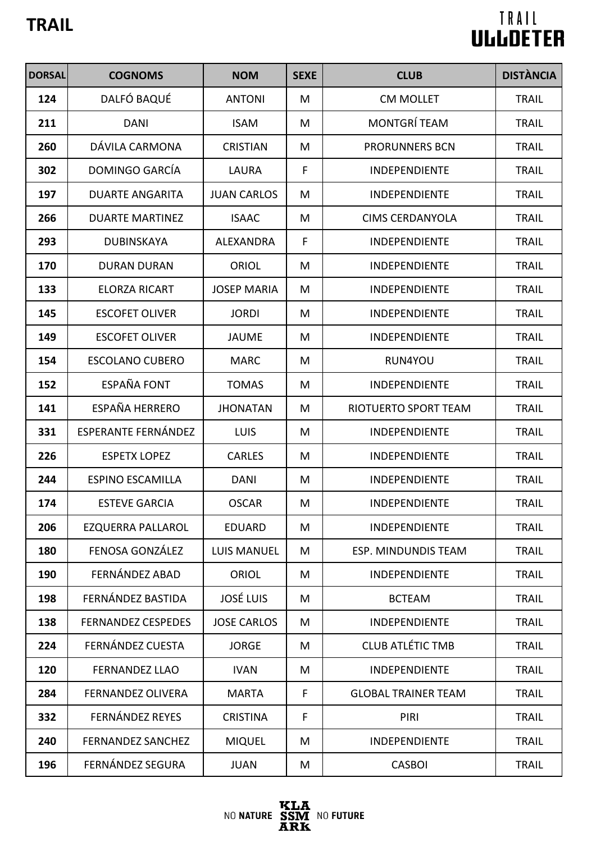| <b>DORSAL</b> | <b>COGNOMS</b>            | <b>NOM</b>         | <b>SEXE</b> | <b>CLUB</b>                | <b>DISTÀNCIA</b> |
|---------------|---------------------------|--------------------|-------------|----------------------------|------------------|
| 124           | DALFÓ BAQUÉ               | <b>ANTONI</b>      | M           | <b>CM MOLLET</b>           | <b>TRAIL</b>     |
| 211           | <b>DANI</b>               | <b>ISAM</b>        | M           | <b>MONTGRÍ TEAM</b>        | <b>TRAIL</b>     |
| 260           | DÁVILA CARMONA            | <b>CRISTIAN</b>    | M           | <b>PRORUNNERS BCN</b>      | <b>TRAIL</b>     |
| 302           | DOMINGO GARCÍA            | <b>LAURA</b>       | F           | <b>INDEPENDIENTE</b>       | <b>TRAIL</b>     |
| 197           | <b>DUARTE ANGARITA</b>    | <b>JUAN CARLOS</b> | M           | <b>INDEPENDIENTE</b>       | <b>TRAIL</b>     |
| 266           | <b>DUARTE MARTINEZ</b>    | <b>ISAAC</b>       | M           | <b>CIMS CERDANYOLA</b>     | <b>TRAIL</b>     |
| 293           | <b>DUBINSKAYA</b>         | <b>ALEXANDRA</b>   | F           | INDEPENDIENTE              | <b>TRAIL</b>     |
| 170           | <b>DURAN DURAN</b>        | <b>ORIOL</b>       | M           | INDEPENDIENTE              | <b>TRAIL</b>     |
| 133           | <b>ELORZA RICART</b>      | <b>JOSEP MARIA</b> | M           | <b>INDEPENDIENTE</b>       | <b>TRAIL</b>     |
| 145           | <b>ESCOFET OLIVER</b>     | <b>JORDI</b>       | M           | INDEPENDIENTE              | <b>TRAIL</b>     |
| 149           | <b>ESCOFET OLIVER</b>     | <b>JAUME</b>       | M           | <b>INDEPENDIENTE</b>       | <b>TRAIL</b>     |
| 154           | <b>ESCOLANO CUBERO</b>    | <b>MARC</b>        | M           | RUN4YOU                    | <b>TRAIL</b>     |
| 152           | <b>ESPAÑA FONT</b>        | <b>TOMAS</b>       | M           | INDEPENDIENTE              | <b>TRAIL</b>     |
| 141           | <b>ESPAÑA HERRERO</b>     | <b>JHONATAN</b>    | M           | RIOTUERTO SPORT TEAM       | <b>TRAIL</b>     |
| 331           | ESPERANTE FERNÁNDEZ       | <b>LUIS</b>        | M           | INDEPENDIENTE              | <b>TRAIL</b>     |
| 226           | <b>ESPETX LOPEZ</b>       | <b>CARLES</b>      | M           | INDEPENDIENTE              | <b>TRAIL</b>     |
| 244           | <b>ESPINO ESCAMILLA</b>   | <b>DANI</b>        | M           | <b>INDEPENDIENTE</b>       | <b>TRAIL</b>     |
| 174           | <b>ESTEVE GARCIA</b>      | <b>OSCAR</b>       | M           | <b>INDEPENDIENTE</b>       | <b>TRAIL</b>     |
| 206           | <b>EZQUERRA PALLAROL</b>  | <b>EDUARD</b>      | M           | <b>INDEPENDIENTE</b>       | <b>TRAIL</b>     |
| 180           | FENOSA GONZÁLEZ           | <b>LUIS MANUEL</b> | M           | ESP. MINDUNDIS TEAM        | <b>TRAIL</b>     |
| 190           | FERNÁNDEZ ABAD            | <b>ORIOL</b>       | M           | <b>INDEPENDIENTE</b>       | <b>TRAIL</b>     |
| 198           | FERNÁNDEZ BASTIDA         | <b>JOSÉ LUIS</b>   | M           | <b>BCTEAM</b>              | <b>TRAIL</b>     |
| 138           | <b>FERNANDEZ CESPEDES</b> | <b>JOSE CARLOS</b> | M           | INDEPENDIENTE              | <b>TRAIL</b>     |
| 224           | FERNÁNDEZ CUESTA          | <b>JORGE</b>       | M           | <b>CLUB ATLÉTIC TMB</b>    | <b>TRAIL</b>     |
| 120           | <b>FERNANDEZ LLAO</b>     | <b>IVAN</b>        | M           | <b>INDEPENDIENTE</b>       | <b>TRAIL</b>     |
| 284           | <b>FERNANDEZ OLIVERA</b>  | <b>MARTA</b>       | F           | <b>GLOBAL TRAINER TEAM</b> | <b>TRAIL</b>     |
| 332           | <b>FERNÁNDEZ REYES</b>    | <b>CRISTINA</b>    | F           | PIRI                       | <b>TRAIL</b>     |
| 240           | <b>FERNANDEZ SANCHEZ</b>  | <b>MIQUEL</b>      | M           | <b>INDEPENDIENTE</b>       | <b>TRAIL</b>     |
| 196           | FERNÁNDEZ SEGURA          | <b>JUAN</b>        | M           | <b>CASBOI</b>              | <b>TRAIL</b>     |

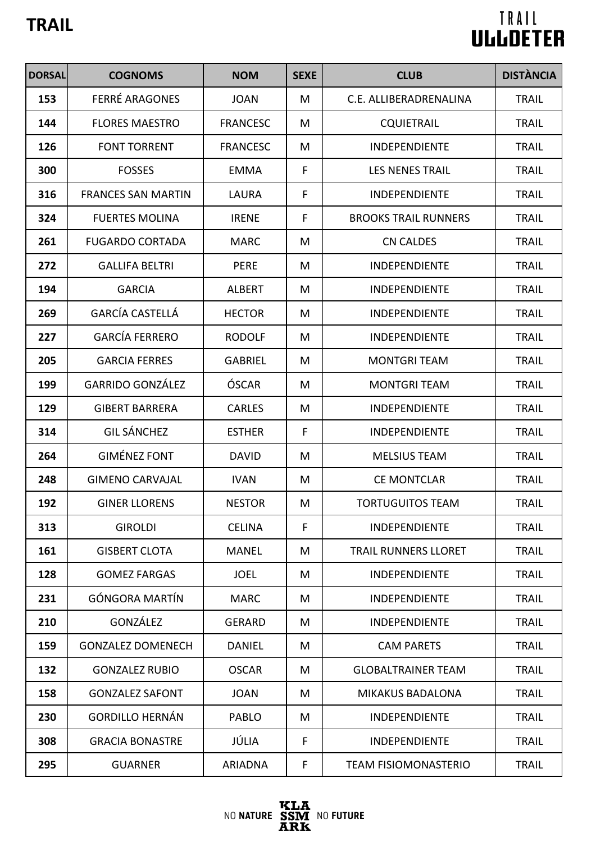| <b>DORSAL</b> | <b>COGNOMS</b>            | <b>NOM</b>      | <b>SEXE</b>  | <b>CLUB</b>                 | <b>DISTÀNCIA</b> |
|---------------|---------------------------|-----------------|--------------|-----------------------------|------------------|
| 153           | <b>FERRÉ ARAGONES</b>     | <b>JOAN</b>     | M            | C.E. ALLIBERADRENALINA      | <b>TRAIL</b>     |
| 144           | <b>FLORES MAESTRO</b>     | <b>FRANCESC</b> | M            | <b>CQUIETRAIL</b>           | <b>TRAIL</b>     |
| 126           | <b>FONT TORRENT</b>       | <b>FRANCESC</b> | M            | <b>INDEPENDIENTE</b>        | <b>TRAIL</b>     |
| 300           | <b>FOSSES</b>             | EMMA            | $\mathsf F$  | <b>LES NENES TRAIL</b>      | <b>TRAIL</b>     |
| 316           | <b>FRANCES SAN MARTIN</b> | <b>LAURA</b>    | $\mathsf{F}$ | <b>INDEPENDIENTE</b>        | <b>TRAIL</b>     |
| 324           | <b>FUERTES MOLINA</b>     | <b>IRENE</b>    | F            | <b>BROOKS TRAIL RUNNERS</b> | <b>TRAIL</b>     |
| 261           | <b>FUGARDO CORTADA</b>    | <b>MARC</b>     | M            | <b>CN CALDES</b>            | <b>TRAIL</b>     |
| 272           | <b>GALLIFA BELTRI</b>     | <b>PERE</b>     | M            | <b>INDEPENDIENTE</b>        | <b>TRAIL</b>     |
| 194           | <b>GARCIA</b>             | <b>ALBERT</b>   | M            | <b>INDEPENDIENTE</b>        | <b>TRAIL</b>     |
| 269           | <b>GARCÍA CASTELLÁ</b>    | <b>HECTOR</b>   | M            | <b>INDEPENDIENTE</b>        | <b>TRAIL</b>     |
| 227           | <b>GARCÍA FERRERO</b>     | <b>RODOLF</b>   | M            | <b>INDEPENDIENTE</b>        | <b>TRAIL</b>     |
| 205           | <b>GARCIA FERRES</b>      | <b>GABRIEL</b>  | M            | <b>MONTGRI TEAM</b>         | <b>TRAIL</b>     |
| 199           | <b>GARRIDO GONZÁLEZ</b>   | ÓSCAR           | M            | <b>MONTGRI TEAM</b>         | <b>TRAIL</b>     |
| 129           | <b>GIBERT BARRERA</b>     | <b>CARLES</b>   | M            | <b>INDEPENDIENTE</b>        | <b>TRAIL</b>     |
| 314           | <b>GIL SÁNCHEZ</b>        | <b>ESTHER</b>   | $\mathsf F$  | <b>INDEPENDIENTE</b>        | <b>TRAIL</b>     |
| 264           | <b>GIMÉNEZ FONT</b>       | <b>DAVID</b>    | M            | <b>MELSIUS TEAM</b>         | <b>TRAIL</b>     |
| 248           | <b>GIMENO CARVAJAL</b>    | <b>IVAN</b>     | M            | <b>CE MONTCLAR</b>          | <b>TRAIL</b>     |
| 192           | <b>GINER LLORENS</b>      | <b>NESTOR</b>   | M            | <b>TORTUGUITOS TEAM</b>     | <b>TRAIL</b>     |
| 313           | <b>GIROLDI</b>            | <b>CELINA</b>   | F            | <b>INDEPENDIENTE</b>        | <b>TRAIL</b>     |
| 161           | <b>GISBERT CLOTA</b>      | <b>MANEL</b>    | M            | <b>TRAIL RUNNERS LLORET</b> | <b>TRAIL</b>     |
| 128           | <b>GOMEZ FARGAS</b>       | <b>JOEL</b>     | M            | <b>INDEPENDIENTE</b>        | <b>TRAIL</b>     |
| 231           | <b>GÓNGORA MARTÍN</b>     | <b>MARC</b>     | M            | <b>INDEPENDIENTE</b>        | <b>TRAIL</b>     |
| 210           | GONZÁLEZ                  | <b>GERARD</b>   | M            | <b>INDEPENDIENTE</b>        | <b>TRAIL</b>     |
| 159           | <b>GONZALEZ DOMENECH</b>  | <b>DANIEL</b>   | M            | <b>CAM PARETS</b>           | <b>TRAIL</b>     |
| 132           | <b>GONZALEZ RUBIO</b>     | <b>OSCAR</b>    | M            | <b>GLOBALTRAINER TEAM</b>   | <b>TRAIL</b>     |
| 158           | <b>GONZALEZ SAFONT</b>    | <b>JOAN</b>     | М            | <b>MIKAKUS BADALONA</b>     | <b>TRAIL</b>     |
| 230           | <b>GORDILLO HERNÁN</b>    | <b>PABLO</b>    | M            | <b>INDEPENDIENTE</b>        | <b>TRAIL</b>     |
| 308           | <b>GRACIA BONASTRE</b>    | JÚLIA           | F            | <b>INDEPENDIENTE</b>        | <b>TRAIL</b>     |
| 295           | <b>GUARNER</b>            | <b>ARIADNA</b>  | F            | <b>TEAM FISIOMONASTERIO</b> | <b>TRAIL</b>     |

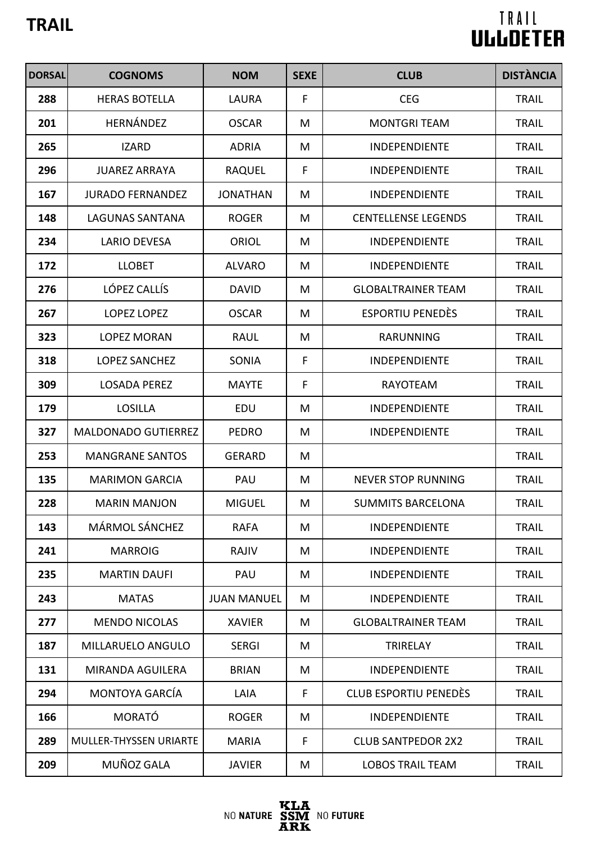| <b>DORSAL</b> | <b>COGNOMS</b>             | <b>NOM</b>         | <b>SEXE</b> | <b>CLUB</b>                  | <b>DISTÀNCIA</b> |
|---------------|----------------------------|--------------------|-------------|------------------------------|------------------|
| 288           | <b>HERAS BOTELLA</b>       | LAURA              | F           | <b>CEG</b>                   | <b>TRAIL</b>     |
| 201           | HERNÁNDEZ                  | <b>OSCAR</b>       | M           | <b>MONTGRI TEAM</b>          | <b>TRAIL</b>     |
| 265           | <b>IZARD</b>               | <b>ADRIA</b>       | M           | <b>INDEPENDIENTE</b>         | <b>TRAIL</b>     |
| 296           | <b>JUAREZ ARRAYA</b>       | <b>RAQUEL</b>      | F           | <b>INDEPENDIENTE</b>         | <b>TRAIL</b>     |
| 167           | <b>JURADO FERNANDEZ</b>    | <b>JONATHAN</b>    | M           | <b>INDEPENDIENTE</b>         | <b>TRAIL</b>     |
| 148           | <b>LAGUNAS SANTANA</b>     | <b>ROGER</b>       | M           | <b>CENTELLENSE LEGENDS</b>   | <b>TRAIL</b>     |
| 234           | <b>LARIO DEVESA</b>        | <b>ORIOL</b>       | M           | <b>INDEPENDIENTE</b>         | <b>TRAIL</b>     |
| 172           | <b>LLOBET</b>              | <b>ALVARO</b>      | M           | INDEPENDIENTE                | <b>TRAIL</b>     |
| 276           | LÓPEZ CALLÍS               | <b>DAVID</b>       | M           | <b>GLOBALTRAINER TEAM</b>    | <b>TRAIL</b>     |
| 267           | <b>LOPEZ LOPEZ</b>         | <b>OSCAR</b>       | M           | <b>ESPORTIU PENEDÈS</b>      | <b>TRAIL</b>     |
| 323           | <b>LOPEZ MORAN</b>         | <b>RAUL</b>        | M           | <b>RARUNNING</b>             | <b>TRAIL</b>     |
| 318           | <b>LOPEZ SANCHEZ</b>       | SONIA              | F           | <b>INDEPENDIENTE</b>         | <b>TRAIL</b>     |
| 309           | <b>LOSADA PEREZ</b>        | <b>MAYTE</b>       | F           | <b>RAYOTEAM</b>              | <b>TRAIL</b>     |
| 179           | <b>LOSILLA</b>             | EDU                | M           | <b>INDEPENDIENTE</b>         | <b>TRAIL</b>     |
| 327           | <b>MALDONADO GUTIERREZ</b> | <b>PEDRO</b>       | M           | <b>INDEPENDIENTE</b>         | <b>TRAIL</b>     |
| 253           | <b>MANGRANE SANTOS</b>     | <b>GERARD</b>      | M           |                              | <b>TRAIL</b>     |
| 135           | <b>MARIMON GARCIA</b>      | PAU                | M           | <b>NEVER STOP RUNNING</b>    | <b>TRAIL</b>     |
| 228           | <b>MARIN MANJON</b>        | <b>MIGUEL</b>      | M           | <b>SUMMITS BARCELONA</b>     | <b>TRAIL</b>     |
| 143           | <b>MÁRMOL SÁNCHEZ</b>      | <b>RAFA</b>        | M           | <b>INDEPENDIENTE</b>         | <b>TRAIL</b>     |
| 241           | <b>MARROIG</b>             | RAJIV              | M           | <b>INDEPENDIENTE</b>         | <b>TRAIL</b>     |
| 235           | <b>MARTIN DAUFI</b>        | PAU                | M           | INDEPENDIENTE                | <b>TRAIL</b>     |
| 243           | <b>MATAS</b>               | <b>JUAN MANUEL</b> | M           | <b>INDEPENDIENTE</b>         | <b>TRAIL</b>     |
| 277           | <b>MENDO NICOLAS</b>       | <b>XAVIER</b>      | M           | <b>GLOBALTRAINER TEAM</b>    | <b>TRAIL</b>     |
| 187           | MILLARUELO ANGULO          | <b>SERGI</b>       | M           | <b>TRIRELAY</b>              | <b>TRAIL</b>     |
| 131           | MIRANDA AGUILERA           | <b>BRIAN</b>       | M           | <b>INDEPENDIENTE</b>         | <b>TRAIL</b>     |
| 294           | <b>MONTOYA GARCÍA</b>      | LAIA               | F           | <b>CLUB ESPORTIU PENEDÈS</b> | <b>TRAIL</b>     |
| 166           | <b>MORATÓ</b>              | <b>ROGER</b>       | M           | <b>INDEPENDIENTE</b>         | <b>TRAIL</b>     |
| 289           | MULLER-THYSSEN URIARTE     | <b>MARIA</b>       | F           | <b>CLUB SANTPEDOR 2X2</b>    | <b>TRAIL</b>     |
| 209           | MUÑOZ GALA                 | <b>JAVIER</b>      | M           | <b>LOBOS TRAIL TEAM</b>      | <b>TRAIL</b>     |

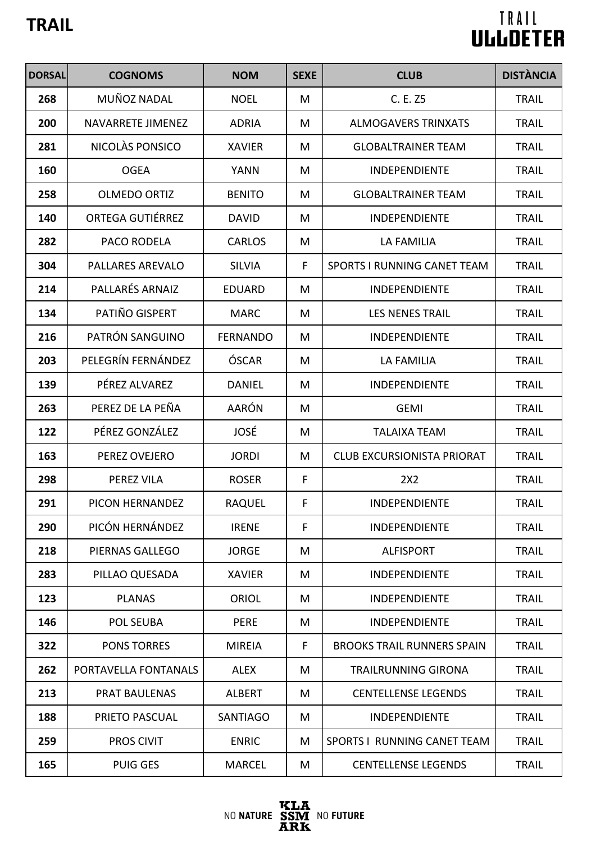| <b>DORSAL</b> | <b>COGNOMS</b>          | <b>NOM</b>      | <b>SEXE</b> | <b>CLUB</b>                        | <b>DISTÀNCIA</b> |
|---------------|-------------------------|-----------------|-------------|------------------------------------|------------------|
| 268           | MUÑOZ NADAL             | <b>NOEL</b>     | M           | C. E. Z5                           | <b>TRAIL</b>     |
| 200           | NAVARRETE JIMENEZ       | <b>ADRIA</b>    | M           | <b>ALMOGAVERS TRINXATS</b>         | <b>TRAIL</b>     |
| 281           | NICOLÀS PONSICO         | <b>XAVIER</b>   | M           | <b>GLOBALTRAINER TEAM</b>          | <b>TRAIL</b>     |
| 160           | <b>OGEA</b>             | <b>YANN</b>     | M           | <b>INDEPENDIENTE</b>               | <b>TRAIL</b>     |
| 258           | <b>OLMEDO ORTIZ</b>     | <b>BENITO</b>   | M           | <b>GLOBALTRAINER TEAM</b>          | <b>TRAIL</b>     |
| 140           | <b>ORTEGA GUTIÉRREZ</b> | <b>DAVID</b>    | M           | <b>INDEPENDIENTE</b>               | <b>TRAIL</b>     |
| 282           | PACO RODELA             | <b>CARLOS</b>   | M           | <b>LA FAMILIA</b>                  | <b>TRAIL</b>     |
| 304           | <b>PALLARES AREVALO</b> | <b>SILVIA</b>   | $\mathsf F$ | <b>SPORTS I RUNNING CANET TEAM</b> | <b>TRAIL</b>     |
| 214           | PALLARÉS ARNAIZ         | <b>EDUARD</b>   | M           | <b>INDEPENDIENTE</b>               | <b>TRAIL</b>     |
| 134           | PATIÑO GISPERT          | <b>MARC</b>     | M           | <b>LES NENES TRAIL</b>             | <b>TRAIL</b>     |
| 216           | PATRÓN SANGUINO         | <b>FERNANDO</b> | M           | <b>INDEPENDIENTE</b>               | <b>TRAIL</b>     |
| 203           | PELEGRÍN FERNÁNDEZ      | ÓSCAR           | M           | LA FAMILIA                         | <b>TRAIL</b>     |
| 139           | PÉREZ ALVAREZ           | <b>DANIEL</b>   | M           | <b>INDEPENDIENTE</b>               | <b>TRAIL</b>     |
| 263           | PEREZ DE LA PEÑA        | AARÓN           | M           | <b>GEMI</b>                        | <b>TRAIL</b>     |
| 122           | PÉREZ GONZÁLEZ          | JOSÉ            | M           | <b>TALAIXA TEAM</b>                | <b>TRAIL</b>     |
| 163           | PEREZ OVEJERO           | <b>JORDI</b>    | M           | <b>CLUB EXCURSIONISTA PRIORAT</b>  | <b>TRAIL</b>     |
| 298           | PEREZ VILA              | <b>ROSER</b>    | F           | 2X2                                | <b>TRAIL</b>     |
| 291           | PICON HERNANDEZ         | <b>RAQUEL</b>   | F           | <b>INDEPENDIENTE</b>               | <b>TRAIL</b>     |
| 290           | PICÓN HERNÁNDEZ         | <b>IRENE</b>    | F           | <b>INDEPENDIENTE</b>               | <b>TRAIL</b>     |
| 218           | PIERNAS GALLEGO         | <b>JORGE</b>    | M           | <b>ALFISPORT</b>                   | <b>TRAIL</b>     |
| 283           | PILLAO QUESADA          | <b>XAVIER</b>   | M           | <b>INDEPENDIENTE</b>               | <b>TRAIL</b>     |
| 123           | <b>PLANAS</b>           | <b>ORIOL</b>    | M           | <b>INDEPENDIENTE</b>               | <b>TRAIL</b>     |
| 146           | POL SEUBA               | <b>PERE</b>     | M           | <b>INDEPENDIENTE</b>               | <b>TRAIL</b>     |
| 322           | <b>PONS TORRES</b>      | <b>MIREIA</b>   | F           | <b>BROOKS TRAIL RUNNERS SPAIN</b>  | <b>TRAIL</b>     |
| 262           | PORTAVELLA FONTANALS    | <b>ALEX</b>     | M           | <b>TRAILRUNNING GIRONA</b>         | <b>TRAIL</b>     |
| 213           | <b>PRAT BAULENAS</b>    | <b>ALBERT</b>   | M           | <b>CENTELLENSE LEGENDS</b>         | <b>TRAIL</b>     |
| 188           | PRIETO PASCUAL          | <b>SANTIAGO</b> | M           | <b>INDEPENDIENTE</b>               | <b>TRAIL</b>     |
| 259           | <b>PROS CIVIT</b>       | <b>ENRIC</b>    | M           | <b>SPORTS I RUNNING CANET TEAM</b> | <b>TRAIL</b>     |
| 165           | <b>PUIG GES</b>         | <b>MARCEL</b>   | M           | <b>CENTELLENSE LEGENDS</b>         | <b>TRAIL</b>     |

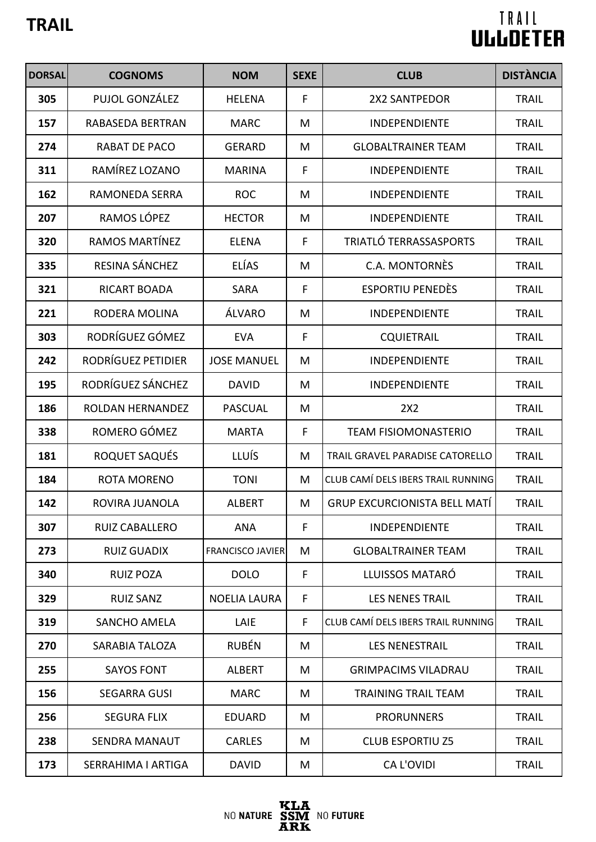| <b>DORSAL</b> | <b>COGNOMS</b>        | <b>NOM</b>              | <b>SEXE</b>  | <b>CLUB</b>                         | <b>DISTÀNCIA</b> |
|---------------|-----------------------|-------------------------|--------------|-------------------------------------|------------------|
| 305           | PUJOL GONZÁLEZ        | <b>HELENA</b>           | F            | <b>2X2 SANTPEDOR</b>                | <b>TRAIL</b>     |
| 157           | RABASEDA BERTRAN      | <b>MARC</b>             | M            | <b>INDEPENDIENTE</b>                | <b>TRAIL</b>     |
| 274           | <b>RABAT DE PACO</b>  | <b>GERARD</b>           | M            | <b>GLOBALTRAINER TEAM</b>           | <b>TRAIL</b>     |
| 311           | RAMÍREZ LOZANO        | <b>MARINA</b>           | $\mathsf{F}$ | INDEPENDIENTE                       | <b>TRAIL</b>     |
| 162           | <b>RAMONEDA SERRA</b> | <b>ROC</b>              | M            | INDEPENDIENTE                       | <b>TRAIL</b>     |
| 207           | RAMOS LÓPEZ           | <b>HECTOR</b>           | M            | <b>INDEPENDIENTE</b>                | <b>TRAIL</b>     |
| 320           | RAMOS MARTÍNEZ        | <b>ELENA</b>            | F            | TRIATLÓ TERRASSASPORTS              | <b>TRAIL</b>     |
| 335           | RESINA SÁNCHEZ        | <b>ELÍAS</b>            | M            | C.A. MONTORNÈS                      | <b>TRAIL</b>     |
| 321           | <b>RICART BOADA</b>   | <b>SARA</b>             | F            | <b>ESPORTIU PENEDÈS</b>             | <b>TRAIL</b>     |
| 221           | RODERA MOLINA         | ÁLVARO                  | M            | <b>INDEPENDIENTE</b>                | <b>TRAIL</b>     |
| 303           | RODRÍGUEZ GÓMEZ       | <b>EVA</b>              | $\mathsf F$  | <b>CQUIETRAIL</b>                   | <b>TRAIL</b>     |
| 242           | RODRÍGUEZ PETIDIER    | <b>JOSE MANUEL</b>      | M            | INDEPENDIENTE                       | <b>TRAIL</b>     |
| 195           | RODRÍGUEZ SÁNCHEZ     | <b>DAVID</b>            | M            | INDEPENDIENTE                       | <b>TRAIL</b>     |
| 186           | ROLDAN HERNANDEZ      | <b>PASCUAL</b>          | M            | 2X2                                 | <b>TRAIL</b>     |
| 338           | ROMERO GÓMEZ          | <b>MARTA</b>            | F            | <b>TEAM FISIOMONASTERIO</b>         | <b>TRAIL</b>     |
| 181           | ROQUET SAQUÉS         | <b>LLUÍS</b>            | M            | TRAIL GRAVEL PARADISE CATORELLO     | <b>TRAIL</b>     |
| 184           | <b>ROTA MORENO</b>    | <b>TONI</b>             | M            | CLUB CAMÍ DELS IBERS TRAIL RUNNING  | <b>TRAIL</b>     |
| 142           | ROVIRA JUANOLA        | <b>ALBERT</b>           | M            | <b>GRUP EXCURCIONISTA BELL MATI</b> | <b>TRAIL</b>     |
| 307           | <b>RUIZ CABALLERO</b> | <b>ANA</b>              | F            | <b>INDEPENDIENTE</b>                | <b>TRAIL</b>     |
| 273           | <b>RUIZ GUADIX</b>    | <b>FRANCISCO JAVIER</b> | M            | <b>GLOBALTRAINER TEAM</b>           | <b>TRAIL</b>     |
| 340           | <b>RUIZ POZA</b>      | <b>DOLO</b>             | F            | LLUISSOS MATARÓ                     | <b>TRAIL</b>     |
| 329           | <b>RUIZ SANZ</b>      | <b>NOELIA LAURA</b>     | F            | <b>LES NENES TRAIL</b>              | <b>TRAIL</b>     |
| 319           | <b>SANCHO AMELA</b>   | LAIE                    | F            | CLUB CAMÍ DELS IBERS TRAIL RUNNING  | <b>TRAIL</b>     |
| 270           | <b>SARABIA TALOZA</b> | <b>RUBÉN</b>            | M            | <b>LES NENESTRAIL</b>               | <b>TRAIL</b>     |
| 255           | <b>SAYOS FONT</b>     | <b>ALBERT</b>           | M            | <b>GRIMPACIMS VILADRAU</b>          | <b>TRAIL</b>     |
| 156           | <b>SEGARRA GUSI</b>   | <b>MARC</b>             | M            | <b>TRAINING TRAIL TEAM</b>          | <b>TRAIL</b>     |
| 256           | <b>SEGURA FLIX</b>    | <b>EDUARD</b>           | M            | <b>PRORUNNERS</b>                   | <b>TRAIL</b>     |
| 238           | SENDRA MANAUT         | <b>CARLES</b>           | M            | <b>CLUB ESPORTIU Z5</b>             | <b>TRAIL</b>     |
| 173           | SERRAHIMA I ARTIGA    | <b>DAVID</b>            | M            | <b>CA L'OVIDI</b>                   | <b>TRAIL</b>     |